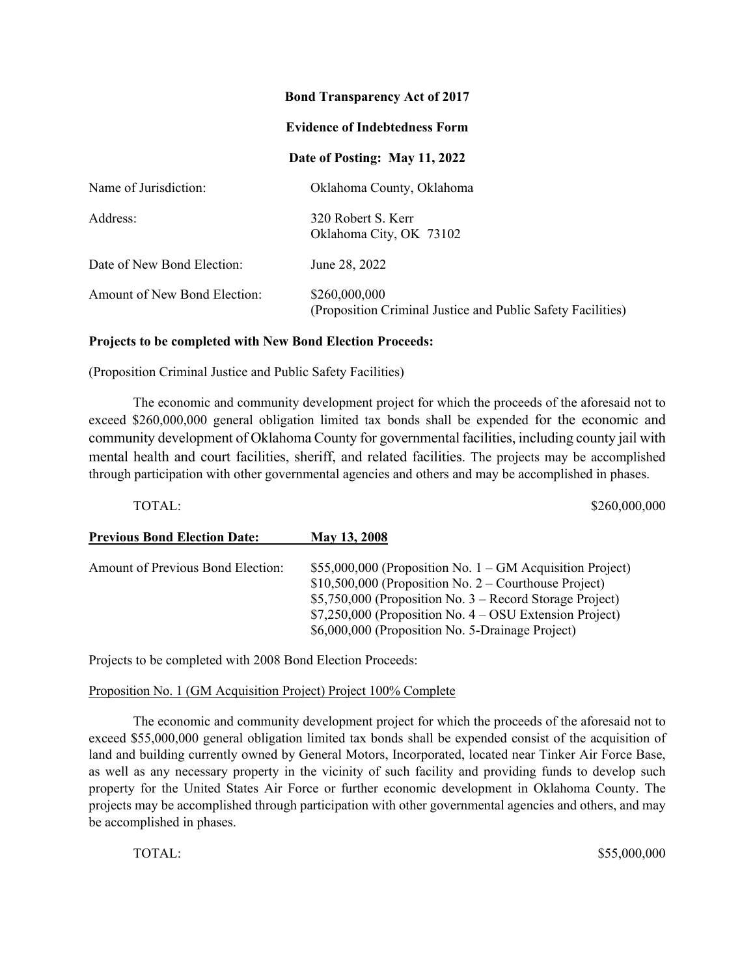### **Bond Transparency Act of 2017**

### **Evidence of Indebtedness Form**

## **Date of Posting: May 11, 2022**

| Name of Jurisdiction:        | Oklahoma County, Oklahoma                                                    |
|------------------------------|------------------------------------------------------------------------------|
| Address:                     | 320 Robert S. Kerr<br>Oklahoma City, OK 73102                                |
| Date of New Bond Election:   | June 28, 2022                                                                |
| Amount of New Bond Election: | \$260,000,000<br>(Proposition Criminal Justice and Public Safety Facilities) |

#### **Projects to be completed with New Bond Election Proceeds:**

(Proposition Criminal Justice and Public Safety Facilities)

The economic and community development project for which the proceeds of the aforesaid not to exceed \$260,000,000 general obligation limited tax bonds shall be expended for the economic and community development of Oklahoma County for governmental facilities, including county jail with mental health and court facilities, sheriff, and related facilities. The projects may be accomplished through participation with other governmental agencies and others and may be accomplished in phases.

TOTAL: \$260,000,000

## **Previous Bond Election Date: May 13, 2008**

| Amount of Previous Bond Election: | \$55,000,000 (Proposition No. $1 - GM$ Acquisition Project)<br>$$10,500,000$ (Proposition No. 2 – Courthouse Project)<br>\$5,750,000 (Proposition No. $3$ – Record Storage Project) |
|-----------------------------------|-------------------------------------------------------------------------------------------------------------------------------------------------------------------------------------|
|                                   | $$7,250,000$ (Proposition No. $4 - OSU$ Extension Project)                                                                                                                          |
|                                   | \$6,000,000 (Proposition No. 5-Drainage Project)                                                                                                                                    |

Projects to be completed with 2008 Bond Election Proceeds:

### Proposition No. 1 (GM Acquisition Project) Project 100% Complete

The economic and community development project for which the proceeds of the aforesaid not to exceed \$55,000,000 general obligation limited tax bonds shall be expended consist of the acquisition of land and building currently owned by General Motors, Incorporated, located near Tinker Air Force Base, as well as any necessary property in the vicinity of such facility and providing funds to develop such property for the United States Air Force or further economic development in Oklahoma County. The projects may be accomplished through participation with other governmental agencies and others, and may be accomplished in phases.

TOTAL: \$55,000,000 \$55,000,000 \$55,000,000 \$55,000,000 \$55,000,000 \$55,000,000 \$55,000,000 \$55,000,000 \$55,000